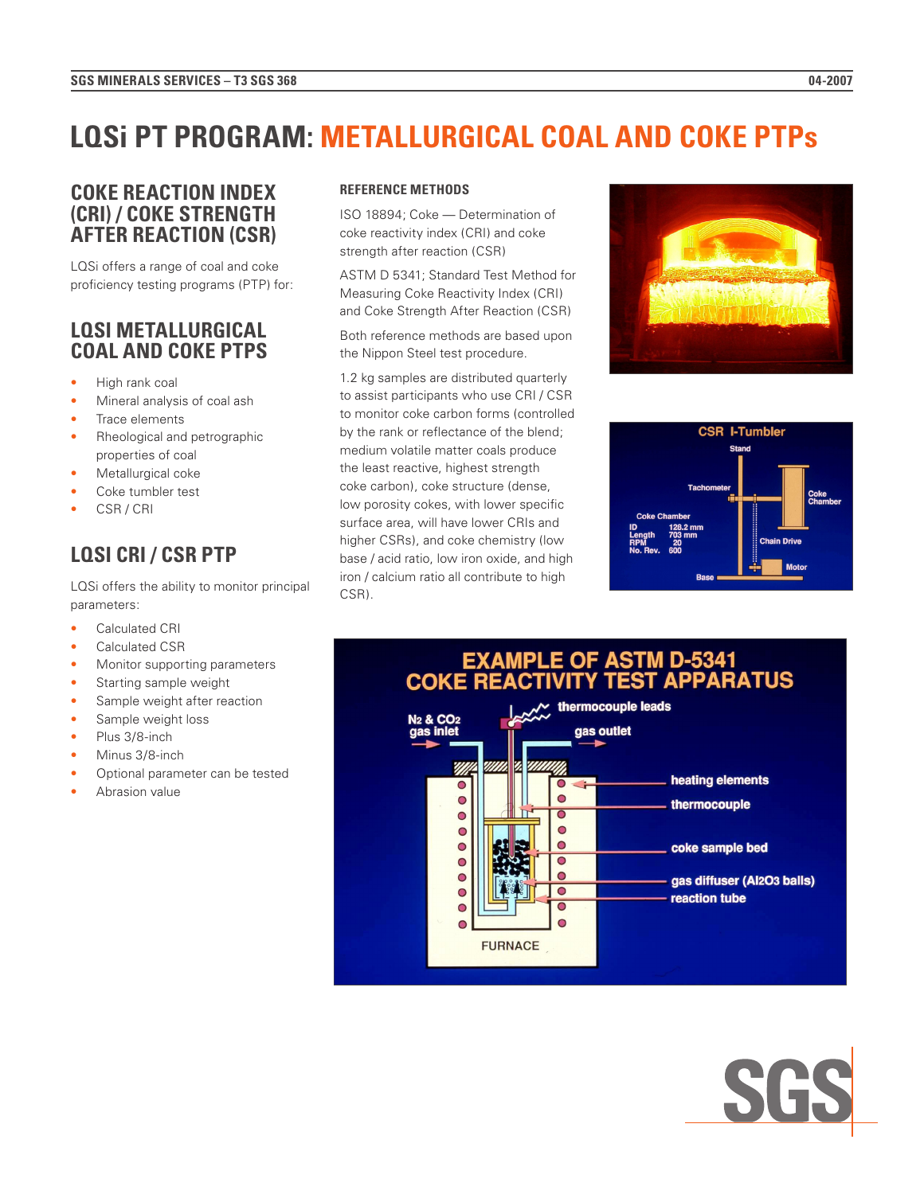# **LQSi PT PROGRAM: METALLURGICAL COAL AND COKE PTPs**

## **COKE REACTION INDEX (CRI) / COKE STRENGTH AFTER REACTION (CSR)**

LQSi offers a range of coal and coke proficiency testing programs (PTP) for:

## **LQSI METALLURGICAL COAL AND COKE PTPS**

- High rank coal
- Mineral analysis of coal ash
- Trace elements
- Rheological and petrographic properties of coal
- Metallurgical coke
- Coke tumbler test
- CSR / CRI

# **LQSI CRI / CSR PTP**

LQSi offers the ability to monitor principal parameters:

- Calculated CRI
- Calculated CSR
- Monitor supporting parameters
- Starting sample weight
- Sample weight after reaction
- Sample weight loss
- Plus 3/8-inch
- Minus 3/8-inch
- Optional parameter can be tested
- Abrasion value

### **REFERENCE METHODS**

ISO 18894; Coke — Determination of coke reactivity index (CRI) and coke strength after reaction (CSR)

ASTM D 5341; Standard Test Method for Measuring Coke Reactivity Index (CRI) and Coke Strength After Reaction (CSR)

Both reference methods are based upon the Nippon Steel test procedure.

1.2 kg samples are distributed quarterly to assist participants who use CRI / CSR to monitor coke carbon forms (controlled by the rank or reflectance of the blend; medium volatile matter coals produce the least reactive, highest strength coke carbon), coke structure (dense, low porosity cokes, with lower specific surface area, will have lower CRIs and higher CSRs), and coke chemistry (low base / acid ratio, low iron oxide, and high iron / calcium ratio all contribute to high CSR).